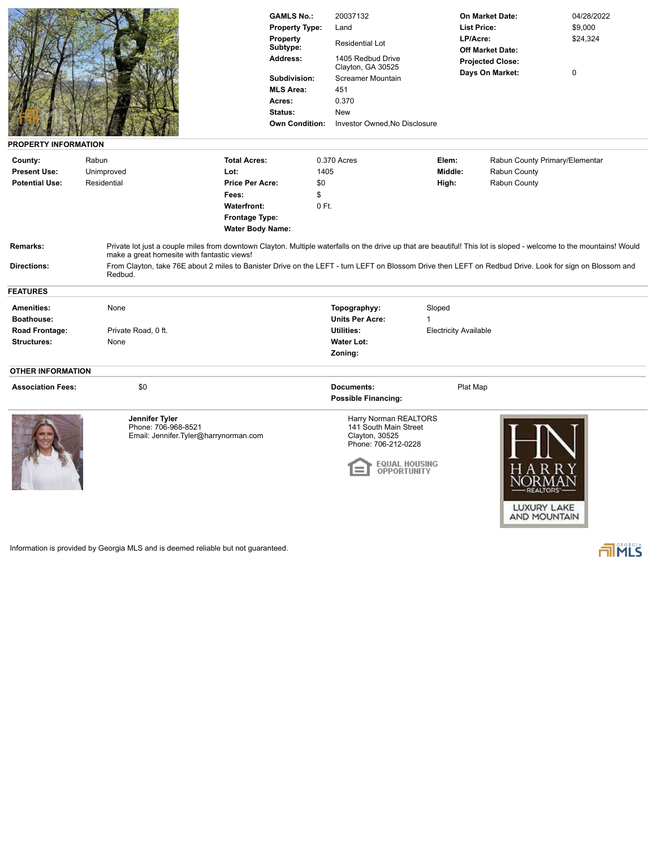| PROPERTY INFORMATION           |                                                                                | <b>GAMLS No.:</b><br><b>Property Type:</b><br><b>Property</b><br>Subtype:<br>Address:<br>Subdivision:<br><b>MLS Area:</b><br>Acres:<br>Status:<br><b>Own Condition:</b>                                                                                                                                                        | 20037132<br>Land<br><b>Residential Lot</b><br>1405 Redbud Drive<br>Clayton, GA 30525<br><b>Screamer Mountain</b><br>451<br>0.370<br><b>New</b><br>Investor Owned, No Disclosure | <b>List Price:</b><br>LP/Acre: | On Market Date:<br><b>Off Market Date:</b><br><b>Projected Close:</b><br>Days On Market: | 04/28/2022<br>\$9,000<br>\$24,324<br>$\mathbf 0$ |
|--------------------------------|--------------------------------------------------------------------------------|--------------------------------------------------------------------------------------------------------------------------------------------------------------------------------------------------------------------------------------------------------------------------------------------------------------------------------|---------------------------------------------------------------------------------------------------------------------------------------------------------------------------------|--------------------------------|------------------------------------------------------------------------------------------|--------------------------------------------------|
| County:                        | Rabun                                                                          | <b>Total Acres:</b>                                                                                                                                                                                                                                                                                                            | 0.370 Acres                                                                                                                                                                     | Elem:                          |                                                                                          | Rabun County Primary/Elementar                   |
| <b>Present Use:</b>            | Unimproved                                                                     | Lot:                                                                                                                                                                                                                                                                                                                           | 1405                                                                                                                                                                            | Middle:                        | Rabun County                                                                             |                                                  |
| <b>Potential Use:</b>          | Residential                                                                    | <b>Price Per Acre:</b>                                                                                                                                                                                                                                                                                                         | \$0                                                                                                                                                                             | High:                          | Rabun County                                                                             |                                                  |
|                                |                                                                                | Fees:                                                                                                                                                                                                                                                                                                                          | \$                                                                                                                                                                              |                                |                                                                                          |                                                  |
|                                |                                                                                | <b>Waterfront:</b>                                                                                                                                                                                                                                                                                                             | $0$ Ft.                                                                                                                                                                         |                                |                                                                                          |                                                  |
|                                |                                                                                | <b>Frontage Type:</b>                                                                                                                                                                                                                                                                                                          |                                                                                                                                                                                 |                                |                                                                                          |                                                  |
|                                |                                                                                | <b>Water Body Name:</b>                                                                                                                                                                                                                                                                                                        |                                                                                                                                                                                 |                                |                                                                                          |                                                  |
| Remarks:<br><b>Directions:</b> | make a great homesite with fantastic views!<br>Redbud.                         | Private lot just a couple miles from downtown Clayton. Multiple waterfalls on the drive up that are beautiful! This lot is sloped - welcome to the mountains! Would<br>From Clayton, take 76E about 2 miles to Banister Drive on the LEFT - turn LEFT on Blossom Drive then LEFT on Redbud Drive. Look for sign on Blossom and |                                                                                                                                                                                 |                                |                                                                                          |                                                  |
| <b>FEATURES</b>                |                                                                                |                                                                                                                                                                                                                                                                                                                                |                                                                                                                                                                                 |                                |                                                                                          |                                                  |
| <b>Amenities:</b>              | None                                                                           |                                                                                                                                                                                                                                                                                                                                | Topographyy:                                                                                                                                                                    | Sloped                         |                                                                                          |                                                  |
| <b>Boathouse:</b>              |                                                                                |                                                                                                                                                                                                                                                                                                                                | <b>Units Per Acre:</b>                                                                                                                                                          | 1                              |                                                                                          |                                                  |
| Road Frontage:                 | Private Road, 0 ft.                                                            |                                                                                                                                                                                                                                                                                                                                | <b>Utilities:</b>                                                                                                                                                               | <b>Electricity Available</b>   |                                                                                          |                                                  |
| <b>Structures:</b>             | None                                                                           |                                                                                                                                                                                                                                                                                                                                | <b>Water Lot:</b>                                                                                                                                                               |                                |                                                                                          |                                                  |
|                                |                                                                                |                                                                                                                                                                                                                                                                                                                                | Zoning:                                                                                                                                                                         |                                |                                                                                          |                                                  |
| <b>OTHER INFORMATION</b>       |                                                                                |                                                                                                                                                                                                                                                                                                                                |                                                                                                                                                                                 |                                |                                                                                          |                                                  |
| <b>Association Fees:</b>       | \$0                                                                            |                                                                                                                                                                                                                                                                                                                                | <b>Documents:</b>                                                                                                                                                               | Plat Map                       |                                                                                          |                                                  |
|                                |                                                                                |                                                                                                                                                                                                                                                                                                                                | <b>Possible Financing:</b>                                                                                                                                                      |                                |                                                                                          |                                                  |
|                                |                                                                                |                                                                                                                                                                                                                                                                                                                                |                                                                                                                                                                                 |                                |                                                                                          |                                                  |
|                                | Jennifer Tyler<br>Phone: 706-968-8521<br>Email: Jennifer.Tyler@harrynorman.com |                                                                                                                                                                                                                                                                                                                                | Harry Norman REALTORS<br>141 South Main Street<br>Clayton, 30525<br>Phone: 706-212-0228<br>OPPORTUNITY                                                                          | EQ <b>UAL H</b> OUSING         |                                                                                          |                                                  |

Information is provided by Georgia MLS and is deemed reliable but not guaranteed.

FINLS

LUXURY LAKE<br>AND MOUNTAIN